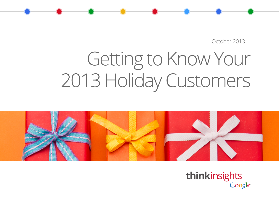October 2013

# Getting to Know Your 2013 Holiday Customers



**think**insightsGoogle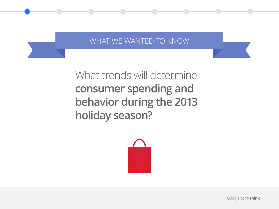# WHAT WE WANTED TO KNOW

# What trends will determine **consumer spending and behavior during the 2013 holiday season?**

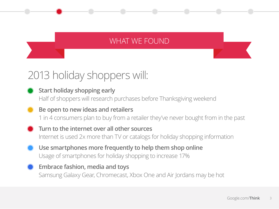# WHAT WE FOUND

# 2013 holiday shoppers will:

- **Start holiday shopping early** Half of shoppers will research purchases before Thanksgiving weekend
- **Be open to new ideas and retailers** 1 in 4 consumers plan to buy from a retailer they've never bought from in the past
- **Turn to the internet over all other sources** Internet is used 2x more than TV or catalogs for holiday shopping information
- **Use smartphones more frequently to help them shop online** Usage of smartphones for holiday shopping to increase 17%
- **Embrace fashion, media and toys** Samsung Galaxy Gear, Chromecast, Xbox One and Air Jordans may be hot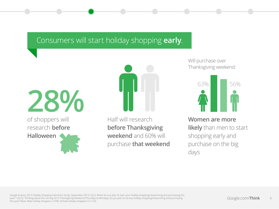# Consumers will start holiday shopping **early**.

of shoppers will research **before Halloween 28%**



Half will research **before Thanksgiving weekend** and 60% will purchase **that weekend** Will purchase over Thanksgiving weekend:



**Women are more likely** than men to start shopping early and purchase on the big days

Google & Ipsos 2013 Holiday Shopping Intentions Study, September 2013 / (Q1). When do you plan to start your holiday shopping/researching and purchasing this year? / (Q1a). Thinking about the coming 2013 Thanksgiving Weekend (Thursday to Monday), do you plan to do any holiday shopping/researching and purchasing this year? Base: Male holiday shoppers n=990, Female holiday shoppers n=1,102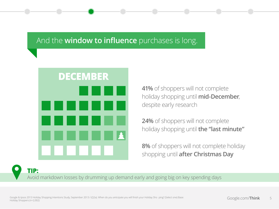# And the **window to influence** purchases is long.



**41%** of shoppers will not complete holiday shopping until **mid-December**, despite early research

**24%** of shoppers will not complete holiday shopping until **the "last minute"**

**8%** of shoppers will not complete holiday shopping until **after Christmas Day**

**TIP:** Avoid markdown losses by drumming up demand early and going big on key spending days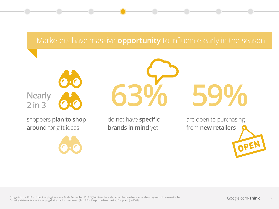# Marketers have massive **opportunity** to influence early in the season.





shoppers **plan to shop around** for gift ideas

do not have **specific brands in mind** yet

**63% 59%**

are open to purchasing from **new retailers**

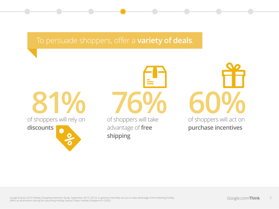# To persuade shoppers, offer a **variety of deals**.

of shoppers will rely on **discounts**

of shoppers will take advantage of **free shipping**

of shoppers will act on **purchase incentives 81% 76% 60%**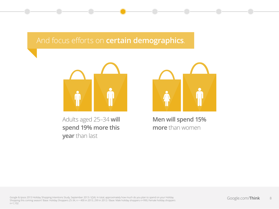# And focus efforts on **certain demographics**.



Adults aged 25–34 **will spend 19% more this year** than last



**Men will spend 15% more** than women

Google & Ipsos 2013 Holiday Shopping Intentions Study, September 2013 / (Q4). In total, approximately how much do you plan to spend on your Holiday Shopping this coming season? Base: Holiday Shoppers 25-34, n = 400 in 2013, 299 in 2012 / Base: Male holiday shoppers n=990, Female holiday shoppers n=1,102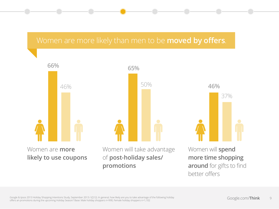## Women are more likely than men to be **moved by offers**.

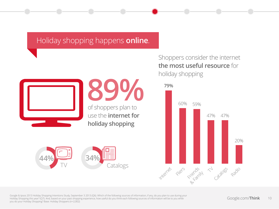# Holiday shopping happens **online**.



# of shoppers plan to **89%**

use the **internet for holiday shopping**



## Shoppers consider the internet **the most useful resource** for holiday shopping



Google & Ipsos 2013 Holiday Shopping Intentions Study, September 3 2013 (Q6). Which of the following sources of information, if any, do you plan to use during your Holiday Shopping this year? (Q7). And, based on your past shopping experience, how useful do you think each following sources of information will be to you while you do your Holiday Shopping? Base: Holiday Shoppers (n=2,002)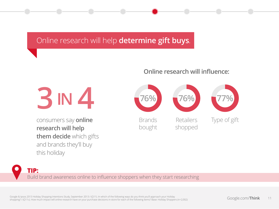# Online research will help **determine gift buys**.

#### **Online research will influence:**



consumers say **online research will help them decide** which gifts and brands they'll buy this holiday





Google & Ipsos 2013 Holiday Shopping Intentions Study, September 2013 / (Q11). In which of the following ways do you think you'll approach your Holiday shopping? / (Q11c). How much impact will online research have on your purchase decisions in-store for each of the following items? Base: Holiday Shoppers (n=2,002)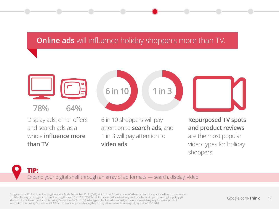# **Online ads** will influence holiday shoppers more than TV.



**78% 64%**

Display ads, email offers and search ads as a whole **influence more than TV**



6 in 10 shoppers will pay attention to **search ads**, and 1 in 3 will pay attention to **video ads**

**Repurposed TV spots and product reviews**  are the most popular video types for holiday shoppers

#### **TIP:** Expand your digital shelf through an array of ad formats — search, display, video

Google & Ipsos 2013 Holiday Shopping Intentions Study, September 2013 / (Q13) Which of the following types of advertisements, if any, are you likely to pay attention to while planning or doing your Holiday Shopping this year? (n=1,782) / (Q13b). Which type of online advertising would you be most open to viewing for getting gift ideas or information on products this Holiday Season? (n=865) / (Q13c). What types of online videos would you be open to watching for gift ideas or product information this Holiday Season? (n=298) Base: Holiday Shoppers indicating they will pay attention to ads (n=ranges by question 298-1,782)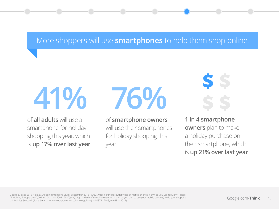# More shoppers will use **smartphones** to help them shop online.

**41%**

of **all adults** will use a smartphone for holiday shopping this year, which is **up 17% over last year**



of **smartphone owners** will use their smartphones for holiday shopping this year

**\$ \$ \$ \$**

**1 in 4 smartphone owners** plan to make a holiday purchase on their smartphone, which is **up 21% over last year**

Google & Ipsos 2013 Holiday Shopping Intentions Study, September 2013 / (Q22). Which of the following types of mobile phones, if any, do you use regularly? (Base: All Holiday Shoppers (n=2,002 in 2013, n=1,500 in 2012)) / (Q23a). In which of the following ways, if any, do you plan to use your mobile device(s) to do your shopping this Holiday Season? (Base: Smartphone owners/use smartphone regularly (n=1,087 in 2013, n=688 in 2012))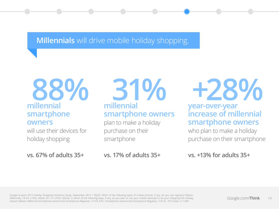**Millennials** will drive mobile holiday shopping.

# **millennial 88% smartphone owners**

will use their devices for holiday shopping

**vs. 67% of adults 35+**

**millennial 31% smartphone owners** 

plan to make a holiday purchase on their smartphone

**vs. 17% of adults 35+**

**+28%**

#### **year-over-year increase of millennial smartphone owners**

who plan to make a holiday purchase on their smartphone

**vs. +13% for adults 35+**

Google & Ipsos 2013 Holiday Shopping Intentions Study, September 2013 / 9Q22). Which of the following types of mobile phones, if any, do you use regularly? (Bases: Millennials, 18-24, n=692, Adults 35+ n=1,310) / (Q23a). In which of the following ways, if any, do you plan to use your mobile device(s) to do your shopping this Holiday Season? (Bases: Millennial Smartphone owners/Use Smartphone Regularly n=474, A35+ Smartphone owners/Use Smartphone Regularly n=613). 2012 base: n=1,500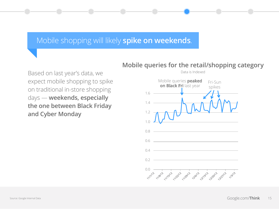## Mobile shopping will likely **spike on weekends**.

Based on last year's data, we expect mobile shopping to spike on traditional in-store shopping days — **weekends, especially the one between Black Friday and Cyber Monday**



#### **Mobile queries for the retail/shopping category**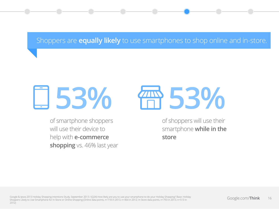### Shoppers are **equally likely** to use smartphones to shop online and in-store.





of smartphone shoppers will use their device to help with **e-commerce shopping** vs. 46% last year of shoppers will use their smartphone **while in the store**

Google & Ipsos 2013 Holiday Shopping Intentions Study, September 2013 / (Q24) How likely are you to use your smartphone to do your Holiday Shopping? Base: Holiday Shoppers Likely to Use Smartphone for In-Store or Online Shopping (Online data points, n=718 in 2013, n=464 in 2012; In Store data points, n=793 in 2013, n=513 in 2012)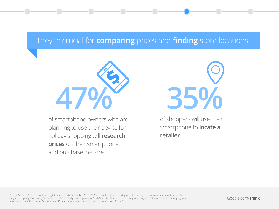# They're crucial for **comparing** prices and **finding** store locations.



of smartphone owners who are planning to use their device for holiday shopping will **research prices** on their smartphone and purchase in-store



of shoppers will use their smartphone to **locate a retailer**

Google & Ipsos 2013 Holiday Shopping Intentions Study, September 2013 / (Q23a). In which of the following ways, if any, do you plan to use your mobile device(s) to do your shopping this Holiday Season? Base: Use a Smartphone regularly (n=1,087) / (Q24b) Which of the following ways do you think you'll approach shopping with your smartphone this Holiday Season? Base: Plan to shop/purchase in-store and use smartphone (n=827)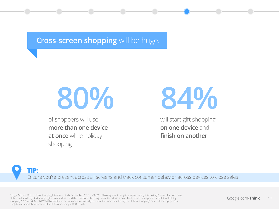# **Cross-screen shopping** will be huge.



of shoppers will use **more than one device at once** while holiday shopping



will start gift shopping **on one device** and **finish on another**

**TIP:** Ensure you're present across all screens and track consumer behavior across devices to close sales

Google & Ipsos 2013 Holiday Shopping Intentions Study, September 2013 / (QNEW1) Thinking about the gifts you plan to buy this Holiday Season, for how many of them will you likely start shopping for on one device and then continue shopping on another device? Base: Likely to use smartphone or tablet for Holiday shopping 2012 (n=948) / (QNEW3) Which of these device combinations will you use at the same time to do your Holiday Shopping? Select all that apply. Base: Likely to use smartphone or tablet for Holiday shopping 2013 (n=948)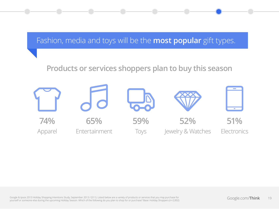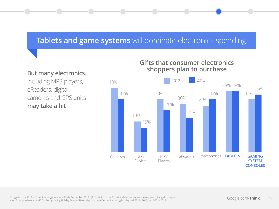# **Tablets and game systems** will dominate electronics spending.

#### **But many electronics**,

including MP3 players, eReaders, digital cameras and GPS units **may take a hit**

#### **Gifts that consumer electronics shoppers plan to purchase**

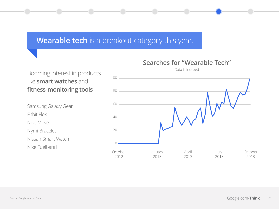# **Wearable tech** is a breakout category this year.

Booming interest in products like **smart watches** and **fitness-monitoring tools**

Samsung Galaxy Gear Fitbit Flex Nike Move Nymi Bracelet Nissan Smart Watch Nike Fuelband



#### **Searches for "Wearable Tech"**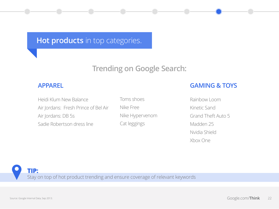**Hot products** in top categories.

# **Trending on Google Search:**

#### **APPAREL**

Heidi Klum New Balance Air Jordans: Fresh Prince of Bel Air Air Jordans: DB 5s Sadie Robertson dress line

Toms shoes Nike Free Nike Hypervenom Cat leggings

#### **GAMING & TOYS**

Rainbow Loom Kinetic Sand Grand Theft Auto 5 Madden 25 Nvidia Shield Xbox One

**TIP:** Stay on top of hot product trending and ensure coverage of relevant keywords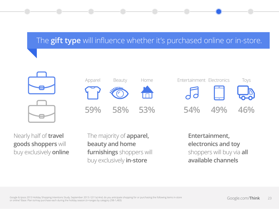# The **gift type** will influence whether it's purchased online or in-store.



Nearly half of **travel goods shoppers** will buy exclusively **online** The majority of **apparel, beauty and home furnishings** shoppers will buy exclusively **in-store**

**Entertainment, electronics and toy**  shoppers will buy via **all available channels**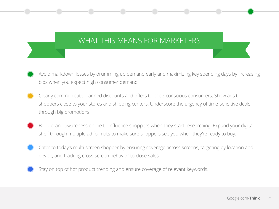# WHAT THIS MEANS FOR MARKETERS

- Avoid markdown losses by drumming up demand early and maximizing key spending days by increasing bids when you expect high consumer demand.
- Clearly communicate planned discounts and offers to price-conscious consumers. Show ads to shoppers close to your stores and shipping centers. Underscore the urgency of time-sensitive deals through big promotions.
- Build brand awareness online to influence shoppers when they start researching. Expand your digital shelf through multiple ad formats to make sure shoppers see you when they're ready to buy.
- Cater to today's multi-screen shopper by ensuring coverage across screens, targeting by location and device, and tracking cross-screen behavior to close sales.
- Stay on top of hot product trending and ensure coverage of relevant keywords.